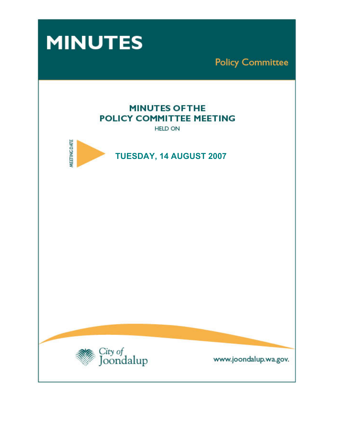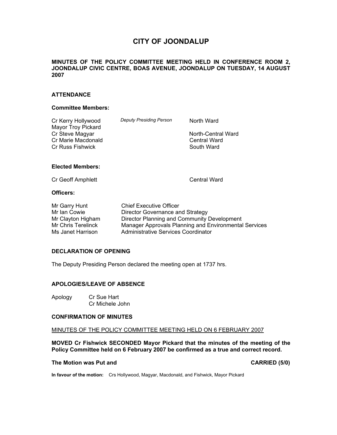# **CITY OF JOONDALUP**

## **MINUTES OF THE POLICY COMMITTEE MEETING HELD IN CONFERENCE ROOM 2, JOONDALUP CIVIC CENTRE, BOAS AVENUE, JOONDALUP ON TUESDAY, 14 AUGUST 2007**

## **ATTENDANCE**

#### **Committee Members:**

| Cr Kerry Hollywood<br>Mayor Troy Pickard                  | <b>Deputy Presiding Person</b> | North Ward                                       |
|-----------------------------------------------------------|--------------------------------|--------------------------------------------------|
| Cr Steve Magyar<br>Cr Marie Macdonald<br>Cr Russ Fishwick |                                | North-Central Ward<br>Central Ward<br>South Ward |
| <b>Elected Members:</b>                                   |                                |                                                  |
| Cr Geoff Amphlett                                         |                                | Central Ward                                     |
| $\bigcap$ if $\bigcup_{n=1}^{\infty}$                     |                                |                                                  |

#### **Officers:**

| Mr Garry Hunt      | <b>Chief Executive Officer</b>                        |
|--------------------|-------------------------------------------------------|
| Mr Ian Cowie       | Director Governance and Strategy                      |
| Mr Clayton Higham  | Director Planning and Community Development           |
| Mr Chris Terelinck | Manager Approvals Planning and Environmental Services |
| Ms Janet Harrison  | Administrative Services Coordinator                   |

#### **DECLARATION OF OPENING**

The Deputy Presiding Person declared the meeting open at 1737 hrs.

### **APOLOGIES/LEAVE OF ABSENCE**

Apology Cr Sue Hart Cr Michele John

# **CONFIRMATION OF MINUTES**

MINUTES OF THE POLICY COMMITTEE MEETING HELD ON 6 FEBRUARY 2007

**MOVED Cr Fishwick SECONDED Mayor Pickard that the minutes of the meeting of the Policy Committee held on 6 February 2007 be confirmed as a true and correct record.** 

# The Motion was Put and **CARRIED** (5/0)

**In favour of the motion:** Crs Hollywood, Magyar, Macdonald, and Fishwick, Mayor Pickard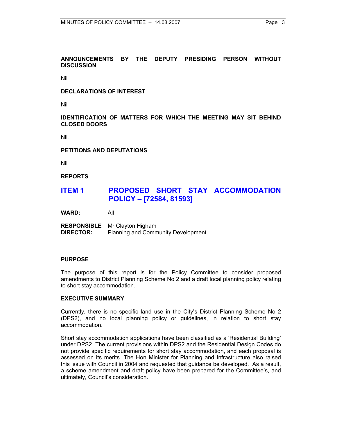Nil.

## **DECLARATIONS OF INTEREST**

Nil

## **IDENTIFICATION OF MATTERS FOR WHICH THE MEETING MAY SIT BEHIND CLOSED DOORS**

Nil.

#### **PETITIONS AND DEPUTATIONS**

Nil.

#### **REPORTS**

# **ITEM 1 PROPOSED SHORT STAY ACCOMMODATION POLICY – [72584, 81593]**

**WARD:** All

**RESPONSIBLE** Mr Clayton Higham **DIRECTOR:** Planning and Community Development

#### **PURPOSE**

The purpose of this report is for the Policy Committee to consider proposed amendments to District Planning Scheme No 2 and a draft local planning policy relating to short stay accommodation.

#### **EXECUTIVE SUMMARY**

Currently, there is no specific land use in the City's District Planning Scheme No 2 (DPS2), and no local planning policy or guidelines, in relation to short stay accommodation.

Short stay accommodation applications have been classified as a 'Residential Building' under DPS2. The current provisions within DPS2 and the Residential Design Codes do not provide specific requirements for short stay accommodation, and each proposal is assessed on its merits. The Hon Minister for Planning and Infrastructure also raised this issue with Council in 2004 and requested that guidance be developed. As a result, a scheme amendment and draft policy have been prepared for the Committee's, and ultimately, Council's consideration.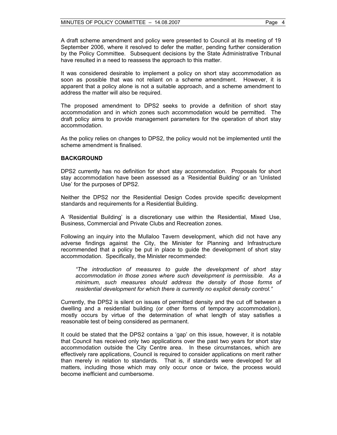A draft scheme amendment and policy were presented to Council at its meeting of 19 September 2006, where it resolved to defer the matter, pending further consideration by the Policy Committee. Subsequent decisions by the State Administrative Tribunal have resulted in a need to reassess the approach to this matter.

It was considered desirable to implement a policy on short stay accommodation as soon as possible that was not reliant on a scheme amendment. However, it is apparent that a policy alone is not a suitable approach, and a scheme amendment to address the matter will also be required.

The proposed amendment to DPS2 seeks to provide a definition of short stay accommodation and in which zones such accommodation would be permitted. The draft policy aims to provide management parameters for the operation of short stay accommodation.

As the policy relies on changes to DPS2, the policy would not be implemented until the scheme amendment is finalised.

#### **BACKGROUND**

DPS2 currently has no definition for short stay accommodation. Proposals for short stay accommodation have been assessed as a 'Residential Building' or an 'Unlisted Use' for the purposes of DPS2.

Neither the DPS2 nor the Residential Design Codes provide specific development standards and requirements for a Residential Building.

A 'Residential Building' is a discretionary use within the Residential, Mixed Use, Business, Commercial and Private Clubs and Recreation zones.

Following an inquiry into the Mullaloo Tavern development, which did not have any adverse findings against the City, the Minister for Planning and Infrastructure recommended that a policy be put in place to guide the development of short stay accommodation. Specifically, the Minister recommended:

*"The introduction of measures to guide the development of short stay accommodation in those zones where such development is permissible. As a minimum, such measures should address the density of those forms of residential development for which there is currently no explicit density control."* 

Currently, the DPS2 is silent on issues of permitted density and the cut off between a dwelling and a residential building (or other forms of temporary accommodation), mostly occurs by virtue of the determination of what length of stay satisfies a reasonable test of being considered as permanent.

It could be stated that the DPS2 contains a 'gap' on this issue, however, it is notable that Council has received only two applications over the past two years for short stay accommodation outside the City Centre area. In these circumstances, which are effectively rare applications, Council is required to consider applications on merit rather than merely in relation to standards. That is, if standards were developed for all matters, including those which may only occur once or twice, the process would become inefficient and cumbersome.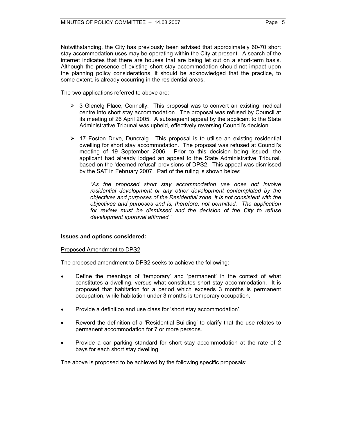Notwithstanding, the City has previously been advised that approximately 60-70 short stay accommodation uses may be operating within the City at present. A search of the internet indicates that there are houses that are being let out on a short-term basis. Although the presence of existing short stay accommodation should not impact upon the planning policy considerations, it should be acknowledged that the practice, to some extent, is already occurring in the residential areas.

The two applications referred to above are:

- $\triangleright$  3 Glenelg Place, Connolly. This proposal was to convert an existing medical centre into short stay accommodation. The proposal was refused by Council at its meeting of 26 April 2005. A subsequent appeal by the applicant to the State Administrative Tribunal was upheld, effectively reversing Council's decision.
- $\triangleright$  17 Foston Drive, Duncraig. This proposal is to utilise an existing residential dwelling for short stay accommodation. The proposal was refused at Council's meeting of 19 September 2006. Prior to this decision being issued, the applicant had already lodged an appeal to the State Administrative Tribunal, based on the 'deemed refusal' provisions of DPS2. This appeal was dismissed by the SAT in February 2007. Part of the ruling is shown below:

*"As the proposed short stay accommodation use does not involve residential development or any other development contemplated by the objectives and purposes of the Residential zone, it is not consistent with the objectives and purposes and is, therefore, not permitted. The application for review must be dismissed and the decision of the City to refuse development approval affirmed."* 

#### **Issues and options considered:**

#### Proposed Amendment to DPS2

The proposed amendment to DPS2 seeks to achieve the following:

- Define the meanings of 'temporary' and 'permanent' in the context of what constitutes a dwelling, versus what constitutes short stay accommodation. It is proposed that habitation for a period which exceeds 3 months is permanent occupation, while habitation under 3 months is temporary occupation,
- Provide a definition and use class for 'short stay accommodation',
- Reword the definition of a 'Residential Building' to clarify that the use relates to permanent accommodation for 7 or more persons.
- Provide a car parking standard for short stay accommodation at the rate of 2 bays for each short stay dwelling.

The above is proposed to be achieved by the following specific proposals: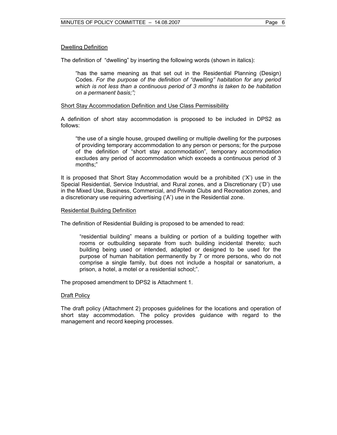## Dwelling Definition

The definition of "dwelling" by inserting the following words (shown in italics):

"has the same meaning as that set out in the Residential Planning (Design) Codes. *For the purpose of the definition of "dwelling" habitation for any period which is not less than a continuous period of 3 months is taken to be habitation on a permanent basis;";* 

## Short Stay Accommodation Definition and Use Class Permissibility

A definition of short stay accommodation is proposed to be included in DPS2 as follows:

"the use of a single house, grouped dwelling or multiple dwelling for the purposes of providing temporary accommodation to any person or persons; for the purpose of the definition of "short stay accommodation", temporary accommodation excludes any period of accommodation which exceeds a continuous period of 3 months;"

It is proposed that Short Stay Accommodation would be a prohibited ('X') use in the Special Residential, Service Industrial, and Rural zones, and a Discretionary ('D') use in the Mixed Use, Business, Commercial, and Private Clubs and Recreation zones, and a discretionary use requiring advertising ('A') use in the Residential zone.

#### Residential Building Definition

The definition of Residential Building is proposed to be amended to read:

"residential building" means a building or portion of a building together with rooms or outbuilding separate from such building incidental thereto; such building being used or intended, adapted or designed to be used for the purpose of human habitation permanently by 7 or more persons, who do not comprise a single family, but does not include a hospital or sanatorium, a prison, a hotel, a motel or a residential school;".

The proposed amendment to DPS2 is Attachment 1.

#### Draft Policy

The draft policy (Attachment 2) proposes guidelines for the locations and operation of short stay accommodation. The policy provides guidance with regard to the management and record keeping processes.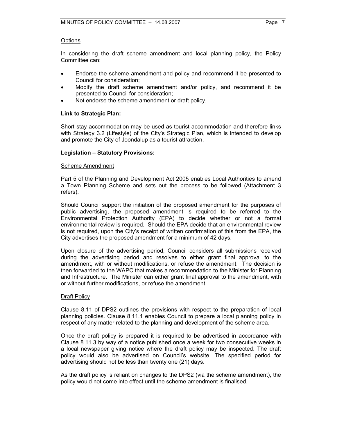## **Options**

In considering the draft scheme amendment and local planning policy, the Policy Committee can:

- Endorse the scheme amendment and policy and recommend it be presented to Council for consideration;
- Modify the draft scheme amendment and/or policy, and recommend it be presented to Council for consideration;
- Not endorse the scheme amendment or draft policy.

# **Link to Strategic Plan:**

Short stay accommodation may be used as tourist accommodation and therefore links with Strategy 3.2 (Lifestyle) of the City's Strategic Plan, which is intended to develop and promote the City of Joondalup as a tourist attraction.

## **Legislation – Statutory Provisions:**

#### Scheme Amendment

Part 5 of the Planning and Development Act 2005 enables Local Authorities to amend a Town Planning Scheme and sets out the process to be followed (Attachment 3 refers).

Should Council support the initiation of the proposed amendment for the purposes of public advertising, the proposed amendment is required to be referred to the Environmental Protection Authority (EPA) to decide whether or not a formal environmental review is required. Should the EPA decide that an environmental review is not required, upon the City's receipt of written confirmation of this from the EPA, the City advertises the proposed amendment for a minimum of 42 days.

Upon closure of the advertising period, Council considers all submissions received during the advertising period and resolves to either grant final approval to the amendment, with or without modifications, or refuse the amendment. The decision is then forwarded to the WAPC that makes a recommendation to the Minister for Planning and Infrastructure. The Minister can either grant final approval to the amendment, with or without further modifications, or refuse the amendment.

#### Draft Policy

Clause 8.11 of DPS2 outlines the provisions with respect to the preparation of local planning policies. Clause 8.11.1 enables Council to prepare a local planning policy in respect of any matter related to the planning and development of the scheme area.

Once the draft policy is prepared it is required to be advertised in accordance with Clause 8.11.3 by way of a notice published once a week for two consecutive weeks in a local newspaper giving notice where the draft policy may be inspected. The draft policy would also be advertised on Council's website. The specified period for advertising should not be less than twenty one (21) days.

As the draft policy is reliant on changes to the DPS2 (via the scheme amendment), the policy would not come into effect until the scheme amendment is finalised.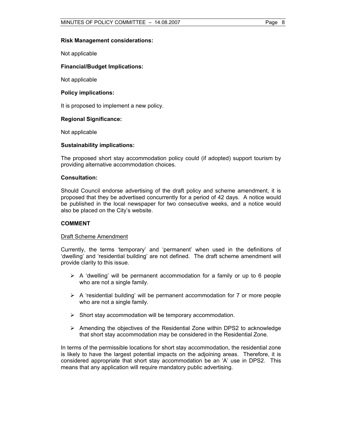#### **Risk Management considerations:**

Not applicable

## **Financial/Budget Implications:**

Not applicable

## **Policy implications:**

It is proposed to implement a new policy.

## **Regional Significance:**

Not applicable

#### **Sustainability implications:**

The proposed short stay accommodation policy could (if adopted) support tourism by providing alternative accommodation choices.

#### **Consultation:**

Should Council endorse advertising of the draft policy and scheme amendment, it is proposed that they be advertised concurrently for a period of 42 days. A notice would be published in the local newspaper for two consecutive weeks, and a notice would also be placed on the City's website.

#### **COMMENT**

#### Draft Scheme Amendment

Currently, the terms 'temporary' and 'permanent' when used in the definitions of 'dwelling' and 'residential building' are not defined. The draft scheme amendment will provide clarity to this issue.

- $\triangleright$  A 'dwelling' will be permanent accommodation for a family or up to 6 people who are not a single family.
- $\triangleright$  A 'residential building' will be permanent accommodation for 7 or more people who are not a single family.
- $\triangleright$  Short stay accommodation will be temporary accommodation.
- $\triangleright$  Amending the objectives of the Residential Zone within DPS2 to acknowledge that short stay accommodation may be considered in the Residential Zone.

In terms of the permissible locations for short stay accommodation, the residential zone is likely to have the largest potential impacts on the adjoining areas. Therefore, it is considered appropriate that short stay accommodation be an 'A' use in DPS2. This means that any application will require mandatory public advertising.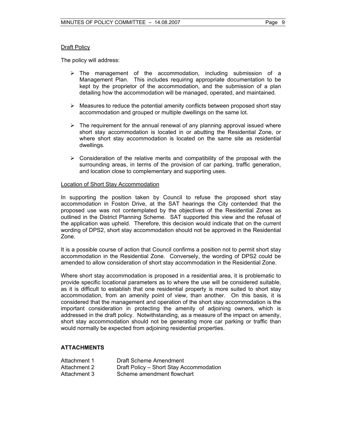# Draft Policy

The policy will address:

- $\triangleright$  The management of the accommodation, including submission of a Management Plan. This includes requiring appropriate documentation to be kept by the proprietor of the accommodation, and the submission of a plan detailing how the accommodation will be managed, operated, and maintained.
- $\triangleright$  Measures to reduce the potential amenity conflicts between proposed short stay accommodation and grouped or multiple dwellings on the same lot.
- $\triangleright$  The requirement for the annual renewal of any planning approval issued where short stay accommodation is located in or abutting the Residential Zone, or where short stay accommodation is located on the same site as residential dwellings.
- $\triangleright$  Consideration of the relative merits and compatibility of the proposal with the surrounding areas, in terms of the provision of car parking, traffic generation, and location close to complementary and supporting uses.

## Location of Short Stay Accommodation

In supporting the position taken by Council to refuse the proposed short stay accommodation in Foston Drive, at the SAT hearings the City contended that the proposed use was not contemplated by the objectives of the Residential Zones as outlined in the District Planning Scheme. SAT supported this view and the refusal of the application was upheld. Therefore, this decision would indicate that on the current wording of DPS2, short stay accommodation should not be approved in the Residential Zone.

It is a possible course of action that Council confirms a position not to permit short stay accommodation in the Residential Zone. Conversely, the wording of DPS2 could be amended to allow consideration of short stay accommodation in the Residential Zone.

Where short stay accommodation is proposed in a residential area, it is problematic to provide specific locational parameters as to where the use will be considered suitable, as it is difficult to establish that one residential property is more suited to short stay accommodation, from an amenity point of view, than another. On this basis, it is considered that the management and operation of the short stay accommodation is the important consideration in protecting the amenity of adjoining owners, which is addressed in the draft policy. Notwithstanding, as a measure of the impact on amenity, short stay accommodation should not be generating more car parking or traffic than would normally be expected from adjoining residential properties.

# **ATTACHMENTS**

| Attachment 1 | Draft Scheme Amendment                  |
|--------------|-----------------------------------------|
| Attachment 2 | Draft Policy - Short Stay Accommodation |
| Attachment 3 | Scheme amendment flowchart              |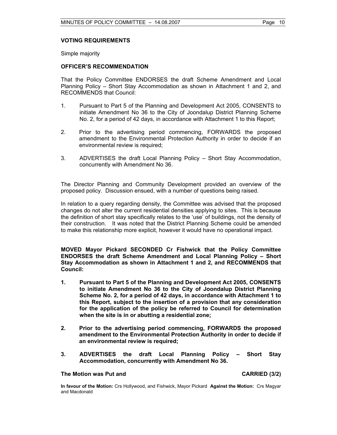## **VOTING REQUIREMENTS**

Simple majority

#### **OFFICER'S RECOMMENDATION**

That the Policy Committee ENDORSES the draft Scheme Amendment and Local Planning Policy – Short Stay Accommodation as shown in Attachment 1 and 2, and RECOMMENDS that Council:

- 1. Pursuant to Part 5 of the Planning and Development Act 2005, CONSENTS to initiate Amendment No 36 to the City of Joondalup District Planning Scheme No. 2, for a period of 42 days, in accordance with Attachment 1 to this Report;
- 2. Prior to the advertising period commencing, FORWARDS the proposed amendment to the Environmental Protection Authority in order to decide if an environmental review is required;
- 3. ADVERTISES the draft Local Planning Policy Short Stay Accommodation, concurrently with Amendment No 36.

The Director Planning and Community Development provided an overview of the proposed policy. Discussion ensued, with a number of questions being raised.

In relation to a query regarding density, the Committee was advised that the proposed changes do not alter the current residential densities applying to sites. This is because the definition of short stay specifically relates to the 'use' of buildings, not the density of their construction. It was noted that the District Planning Scheme could be amended to make this relationship more explicit, however it would have no operational impact.

**MOVED Mayor Pickard SECONDED Cr Fishwick that the Policy Committee ENDORSES the draft Scheme Amendment and Local Planning Policy – Short Stay Accommodation as shown in Attachment 1 and 2, and RECOMMENDS that Council:** 

- **1. Pursuant to Part 5 of the Planning and Development Act 2005, CONSENTS to initiate Amendment No 36 to the City of Joondalup District Planning Scheme No. 2, for a period of 42 days, in accordance with Attachment 1 to this Report, subject to the insertion of a provision that any consideration for the application of the policy be referred to Council for determination when the site is in or abutting a residential zone;**
- **2. Prior to the advertising period commencing, FORWARDS the proposed amendment to the Environmental Protection Authority in order to decide if an environmental review is required;**
- **3. ADVERTISES the draft Local Planning Policy Short Stay Accommodation, concurrently with Amendment No 36.**

#### **The Motion was Put and CARRIED (3/2)**

**In favour of the Motion:** Crs Hollywood, and Fishwick, Mayor Pickard **Against the Motion:** Crs Magyar and Macdonald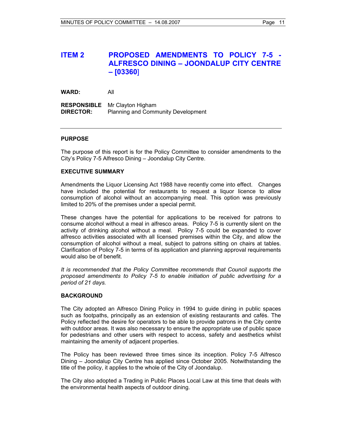# **ITEM 2 PROPOSED AMENDMENTS TO POLICY 7-5 - ALFRESCO DINING – JOONDALUP CITY CENTRE – [03360**]

**WARD:** All

**RESPONSIBLE** Mr Clayton Higham **DIRECTOR:** Planning and Community Development

## **PURPOSE**

The purpose of this report is for the Policy Committee to consider amendments to the City's Policy 7-5 Alfresco Dining – Joondalup City Centre.

#### **EXECUTIVE SUMMARY**

Amendments the Liquor Licensing Act 1988 have recently come into effect. Changes have included the potential for restaurants to request a liquor licence to allow consumption of alcohol without an accompanying meal. This option was previously limited to 20% of the premises under a special permit.

These changes have the potential for applications to be received for patrons to consume alcohol without a meal in alfresco areas. Policy 7-5 is currently silent on the activity of drinking alcohol without a meal. Policy 7-5 could be expanded to cover alfresco activities associated with all licensed premises within the City, and allow the consumption of alcohol without a meal, subject to patrons sitting on chairs at tables. Clarification of Policy 7-5 in terms of its application and planning approval requirements would also be of benefit.

*It is recommended that the Policy Committee recommends that Council supports the proposed amendments to Policy 7-5 to enable initiation of public advertising for a period of 21 days.* 

#### **BACKGROUND**

The City adopted an Alfresco Dining Policy in 1994 to guide dining in public spaces such as footpaths, principally as an extension of existing restaurants and cafés. The Policy reflected the desire for operators to be able to provide patrons in the City centre with outdoor areas. It was also necessary to ensure the appropriate use of public space for pedestrians and other users with respect to access, safety and aesthetics whilst maintaining the amenity of adjacent properties.

The Policy has been reviewed three times since its inception. Policy 7-5 Alfresco Dining – Joondalup City Centre has applied since October 2005. Notwithstanding the title of the policy, it applies to the whole of the City of Joondalup.

The City also adopted a Trading in Public Places Local Law at this time that deals with the environmental health aspects of outdoor dining.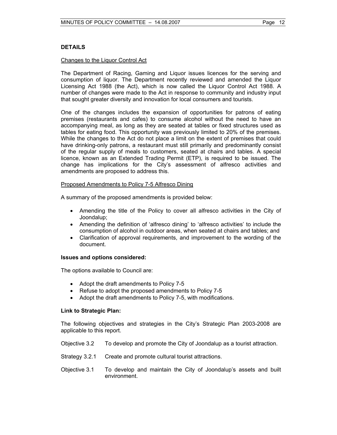# **DETAILS**

## Changes to the Liquor Control Act

The Department of Racing, Gaming and Liquor issues licences for the serving and consumption of liquor. The Department recently reviewed and amended the Liquor Licensing Act 1988 (the Act), which is now called the Liquor Control Act 1988. A number of changes were made to the Act in response to community and industry input that sought greater diversity and innovation for local consumers and tourists.

One of the changes includes the expansion of opportunities for patrons of eating premises (restaurants and cafes) to consume alcohol without the need to have an accompanying meal, as long as they are seated at tables or fixed structures used as tables for eating food. This opportunity was previously limited to 20% of the premises. While the changes to the Act do not place a limit on the extent of premises that could have drinking-only patrons, a restaurant must still primarily and predominantly consist of the regular supply of meals to customers, seated at chairs and tables. A special licence, known as an Extended Trading Permit (ETP), is required to be issued. The change has implications for the City's assessment of alfresco activities and amendments are proposed to address this.

## Proposed Amendments to Policy 7-5 Alfresco Dining

A summary of the proposed amendments is provided below:

- Amending the title of the Policy to cover all alfresco activities in the City of Joondalup;
- Amending the definition of 'alfresco dining' to 'alfresco activities' to include the consumption of alcohol in outdoor areas, when seated at chairs and tables; and
- Clarification of approval requirements, and improvement to the wording of the document.

#### **Issues and options considered:**

The options available to Council are:

- Adopt the draft amendments to Policy 7-5
- Refuse to adopt the proposed amendments to Policy 7-5
- Adopt the draft amendments to Policy 7-5, with modifications.

#### **Link to Strategic Plan:**

The following objectives and strategies in the City's Strategic Plan 2003-2008 are applicable to this report.

- Objective 3.2 To develop and promote the City of Joondalup as a tourist attraction.
- Strategy 3.2.1 Create and promote cultural tourist attractions.
- Objective 3.1 To develop and maintain the City of Joondalup's assets and built environment.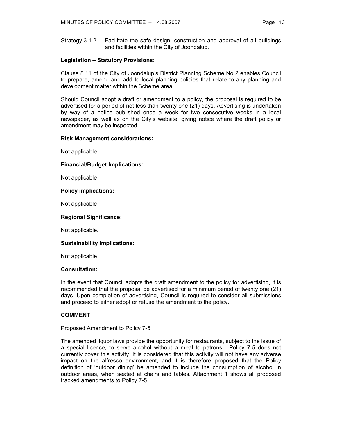Strategy 3.1.2 Facilitate the safe design, construction and approval of all buildings and facilities within the City of Joondalup.

## **Legislation – Statutory Provisions:**

Clause 8.11 of the City of Joondalup's District Planning Scheme No 2 enables Council to prepare, amend and add to local planning policies that relate to any planning and development matter within the Scheme area.

Should Council adopt a draft or amendment to a policy, the proposal is required to be advertised for a period of not less than twenty one (21) days. Advertising is undertaken by way of a notice published once a week for two consecutive weeks in a local newspaper, as well as on the City's website, giving notice where the draft policy or amendment may be inspected.

#### **Risk Management considerations:**

Not applicable

## **Financial/Budget Implications:**

Not applicable

## **Policy implications:**

Not applicable

## **Regional Significance:**

Not applicable.

# **Sustainability implications:**

Not applicable

## **Consultation:**

In the event that Council adopts the draft amendment to the policy for advertising, it is recommended that the proposal be advertised for a minimum period of twenty one (21) days. Upon completion of advertising, Council is required to consider all submissions and proceed to either adopt or refuse the amendment to the policy.

# **COMMENT**

# Proposed Amendment to Policy 7-5

The amended liquor laws provide the opportunity for restaurants, subject to the issue of a special licence, to serve alcohol without a meal to patrons. Policy 7-5 does not currently cover this activity. It is considered that this activity will not have any adverse impact on the alfresco environment, and it is therefore proposed that the Policy definition of 'outdoor dining' be amended to include the consumption of alcohol in outdoor areas, when seated at chairs and tables. Attachment 1 shows all proposed tracked amendments to Policy 7-5.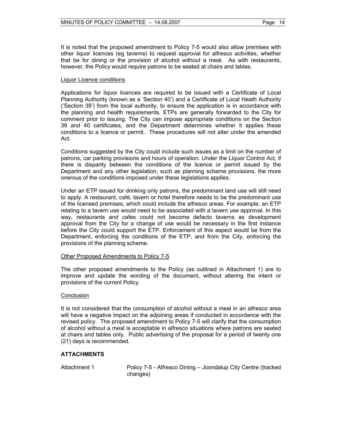It is noted that the proposed amendment to Policy 7-5 would also allow premises with other liquor licences (eg taverns) to request approval for alfresco activities, whether that be for dining or the provision of alcohol without a meal. As with restaurants, however, the Policy would require patrons to be seated at chairs and tables.

#### Liquor Licence conditions

Applications for liquor licences are required to be issued with a Certificate of Local Planning Authority (known as a 'Section 40') and a Certificate of Local Heath Authority ('Section 39') from the local authority, to ensure the application is in accordance with the planning and health requirements. ETPs are generally forwarded to the City for comment prior to issuing. The City can impose appropriate conditions on the Section 39 and 40 certificates, and the Department determines whether it applies these conditions to a licence or permit. These procedures will not alter under the amended Act.

Conditions suggested by the City could include such issues as a limit on the number of patrons, car parking provisions and hours of operation. Under the Liquor Control Act, if there is disparity between the conditions of the licence or permit issued by the Department and any other legislation, such as planning scheme provisions, the more onerous of the conditions imposed under these legislations applies.

Under an ETP issued for drinking only patrons, the predominant land use will still need to apply. A restaurant, café, tavern or hotel therefore needs to be the predominant use of the licensed premises, which could include the alfresco areas. For example, an ETP relating to a tavern use would need to be associated with a tavern use approval. In this way, restaurants and cafes could not become defacto taverns as development approval from the City for a change of use would be necessary in the first instance before the City could support the ETP. Enforcement of this aspect would be from the Department, enforcing the conditions of the ETP, and from the City, enforcing the provisions of the planning scheme.

#### Other Proposed Amendments to Policy 7-5

The other proposed amendments to the Policy (as outlined in Attachment 1) are to improve and update the wording of the document, without altering the intent or provisions of the current Policy.

#### **Conclusion**

It is not considered that the consumption of alcohol without a meal in an alfresco area will have a negative impact on the adjoining areas if conducted in accordance with the revised policy. The proposed amendment to Policy 7-5 will clarify that the consumption of alcohol without a meal is acceptable in alfresco situations where patrons are seated at chairs and tables only. Public advertising of the proposal for a period of twenty one (21) days is recommended.

#### **ATTACHMENTS**

Attachment 1 Policy 7-5 - Alfresco Dining – Joondalup City Centre (tracked changes)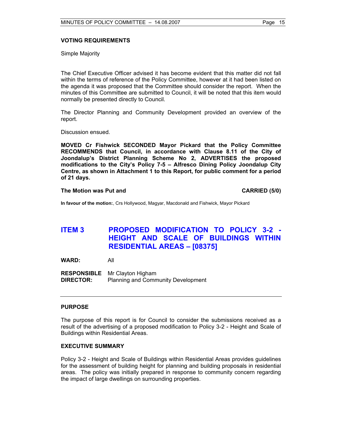# **VOTING REQUIREMENTS**

Simple Majority

The Chief Executive Officer advised it has become evident that this matter did not fall within the terms of reference of the Policy Committee, however at it had been listed on the agenda it was proposed that the Committee should consider the report. When the minutes of this Committee are submitted to Council, it will be noted that this item would normally be presented directly to Council.

The Director Planning and Community Development provided an overview of the report.

Discussion ensued.

**MOVED Cr Fishwick SECONDED Mayor Pickard that the Policy Committee RECOMMENDS that Council, in accordance with Clause 8.11 of the City of Joondalup's District Planning Scheme No 2, ADVERTISES the proposed modifications to the City's Policy 7-5 – Alfresco Dining Policy Joondalup City Centre, as shown in Attachment 1 to this Report, for public comment for a period of 21 days.** 

## **The Motion was Put and CARRIED (5/0) CARRIED (5/0)**

**In favour of the motion:**, Crs Hollywood, Magyar, Macdonald and Fishwick, Mayor Pickard

# **ITEM 3 PROPOSED MODIFICATION TO POLICY 3-2 - HEIGHT AND SCALE OF BUILDINGS WITHIN RESIDENTIAL AREAS – [08375]**

**WARD:** All

**RESPONSIBLE** Mr Clayton Higham **DIRECTOR:** Planning and Community Development

# **PURPOSE**

The purpose of this report is for Council to consider the submissions received as a result of the advertising of a proposed modification to Policy 3-2 - Height and Scale of Buildings within Residential Areas.

# **EXECUTIVE SUMMARY**

Policy 3-2 - Height and Scale of Buildings within Residential Areas provides guidelines for the assessment of building height for planning and building proposals in residential areas. The policy was initially prepared in response to community concern regarding the impact of large dwellings on surrounding properties.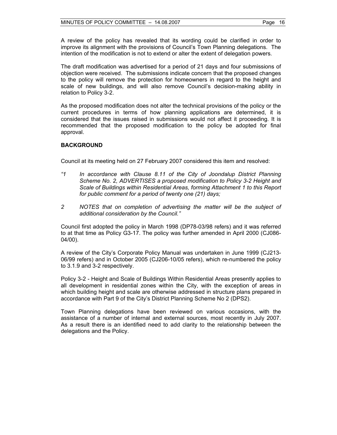A review of the policy has revealed that its wording could be clarified in order to improve its alignment with the provisions of Council's Town Planning delegations. The intention of the modification is not to extend or alter the extent of delegation powers.

The draft modification was advertised for a period of 21 days and four submissions of objection were received. The submissions indicate concern that the proposed changes to the policy will remove the protection for homeowners in regard to the height and scale of new buildings, and will also remove Council's decision-making ability in relation to Policy 3-2.

As the proposed modification does not alter the technical provisions of the policy or the current procedures in terms of how planning applications are determined, it is considered that the issues raised in submissions would not affect it proceeding. It is recommended that the proposed modification to the policy be adopted for final approval.

# **BACKGROUND**

Council at its meeting held on 27 February 2007 considered this item and resolved:

- *"1 In accordance with Clause 8.11 of the City of Joondalup District Planning Scheme No. 2, ADVERTISES a proposed modification to Policy 3-2 Height and Scale of Buildings within Residential Areas, forming Attachment 1 to this Report for public comment for a period of twenty one (21) days;*
- 2 NOTES that on completion of advertising the matter will be the subject of *additional consideration by the Council."*

Council first adopted the policy in March 1998 (DP78-03/98 refers) and it was referred to at that time as Policy G3-17. The policy was further amended in April 2000 (CJ086- 04/00).

A review of the City's Corporate Policy Manual was undertaken in June 1999 (CJ213- 06/99 refers) and in October 2005 (CJ206-10/05 refers), which re-numbered the policy to 3.1.9 and 3-2 respectively.

Policy 3-2 - Height and Scale of Buildings Within Residential Areas presently applies to all development in residential zones within the City, with the exception of areas in which building height and scale are otherwise addressed in structure plans prepared in accordance with Part 9 of the City's District Planning Scheme No 2 (DPS2).

Town Planning delegations have been reviewed on various occasions, with the assistance of a number of internal and external sources, most recently in July 2007. As a result there is an identified need to add clarity to the relationship between the delegations and the Policy.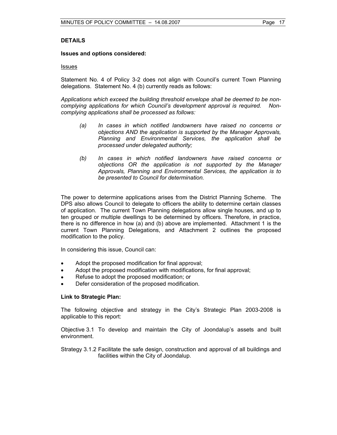# **DETAILS**

#### **Issues and options considered:**

#### Issues

Statement No. 4 of Policy 3-2 does not align with Council's current Town Planning delegations. Statement No. 4 (b) currently reads as follows:

*Applications which exceed the building threshold envelope shall be deemed to be noncomplying applications for which Council's development approval is required. Noncomplying applications shall be processed as follows:* 

- *(a) In cases in which notified landowners have raised no concerns or objections AND the application is supported by the Manager Approvals, Planning and Environmental Services, the application shall be processed under delegated authority;*
- *(b) In cases in which notified landowners have raised concerns or objections OR the application is not supported by the Manager Approvals, Planning and Environmental Services, the application is to be presented to Council for determination.*

The power to determine applications arises from the District Planning Scheme. The DPS also allows Council to delegate to officers the ability to determine certain classes of application. The current Town Planning delegations allow single houses, and up to ten grouped or multiple dwellings to be determined by officers. Therefore, in practice, there is no difference in how (a) and (b) above are implemented. Attachment 1 is the current Town Planning Delegations, and Attachment 2 outlines the proposed modification to the policy.

In considering this issue, Council can:

- Adopt the proposed modification for final approval;
- Adopt the proposed modification with modifications, for final approval;
- Refuse to adopt the proposed modification; or
- Defer consideration of the proposed modification.

#### **Link to Strategic Plan:**

The following objective and strategy in the City's Strategic Plan 2003-2008 is applicable to this report:

Objective 3.1 To develop and maintain the City of Joondalup's assets and built environment.

Strategy 3.1.2 Facilitate the safe design, construction and approval of all buildings and facilities within the City of Joondalup.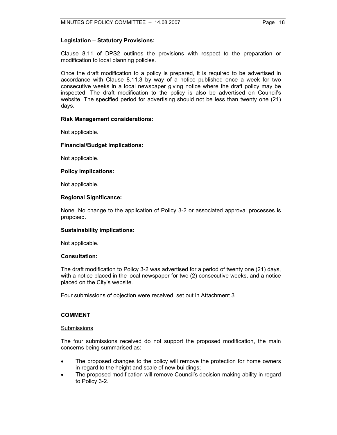## **Legislation – Statutory Provisions:**

Clause 8.11 of DPS2 outlines the provisions with respect to the preparation or modification to local planning policies.

Once the draft modification to a policy is prepared, it is required to be advertised in accordance with Clause 8.11.3 by way of a notice published once a week for two consecutive weeks in a local newspaper giving notice where the draft policy may be inspected. The draft modification to the policy is also be advertised on Council's website. The specified period for advertising should not be less than twenty one (21) days.

## **Risk Management considerations:**

Not applicable.

## **Financial/Budget Implications:**

Not applicable.

## **Policy implications:**

Not applicable.

## **Regional Significance:**

None. No change to the application of Policy 3-2 or associated approval processes is proposed.

# **Sustainability implications:**

Not applicable.

#### **Consultation:**

The draft modification to Policy 3-2 was advertised for a period of twenty one (21) days, with a notice placed in the local newspaper for two (2) consecutive weeks, and a notice placed on the City's website.

Four submissions of objection were received, set out in Attachment 3.

## **COMMENT**

#### Submissions

The four submissions received do not support the proposed modification, the main concerns being summarised as:

- The proposed changes to the policy will remove the protection for home owners in regard to the height and scale of new buildings;
- The proposed modification will remove Council's decision-making ability in regard to Policy 3-2.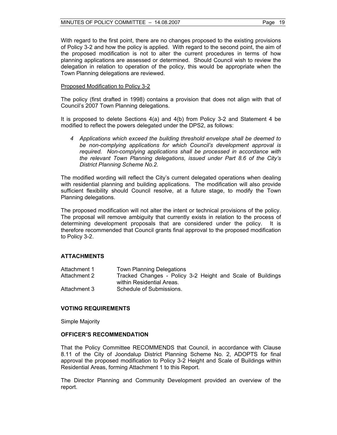## Proposed Modification to Policy 3-2

The policy (first drafted in 1998) contains a provision that does not align with that of Council's 2007 Town Planning delegations.

It is proposed to delete Sections 4(a) and 4(b) from Policy 3-2 and Statement 4 be modified to reflect the powers delegated under the DPS2, as follows:

*4 Applications which exceed the building threshold envelope shall be deemed to be non-complying applications for which Council's development approval is required. Non-complying applications shall be processed in accordance with the relevant Town Planning delegations, issued under Part 8.6 of the City's District Planning Scheme No.2.* 

The modified wording will reflect the City's current delegated operations when dealing with residential planning and building applications. The modification will also provide sufficient flexibility should Council resolve, at a future stage, to modify the Town Planning delegations.

The proposed modification will not alter the intent or technical provisions of the policy. The proposal will remove ambiguity that currently exists in relation to the process of determining development proposals that are considered under the policy. It is therefore recommended that Council grants final approval to the proposed modification to Policy 3-2.

# **ATTACHMENTS**

| Attachment 1 | <b>Town Planning Delegations</b>                           |
|--------------|------------------------------------------------------------|
| Attachment 2 | Tracked Changes - Policy 3-2 Height and Scale of Buildings |
|              | within Residential Areas.                                  |
| Attachment 3 | Schedule of Submissions.                                   |

#### **VOTING REQUIREMENTS**

Simple Majority

#### **OFFICER'S RECOMMENDATION**

That the Policy Committee RECOMMENDS that Council, in accordance with Clause 8.11 of the City of Joondalup District Planning Scheme No. 2, ADOPTS for final approval the proposed modification to Policy 3-2 Height and Scale of Buildings within Residential Areas, forming Attachment 1 to this Report.

The Director Planning and Community Development provided an overview of the report.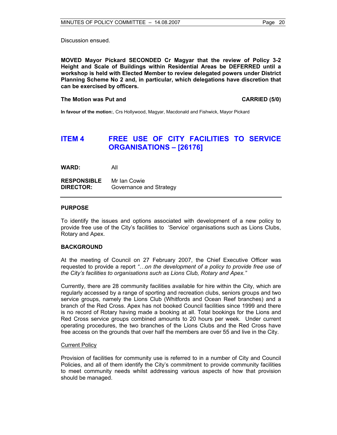Discussion ensued.

**MOVED Mayor Pickard SECONDED Cr Magyar that the review of Policy 3-2 Height and Scale of Buildings within Residential Areas be DEFERRED until a workshop is held with Elected Member to review delegated powers under District Planning Scheme No 2 and, in particular, which delegations have discretion that can be exercised by officers.** 

### **The Motion was Put and CARRIED (5/0) CARRIED (5/0)**

**In favour of the motion:**, Crs Hollywood, Magyar, Macdonald and Fishwick, Mayor Pickard

# **ITEM 4 FREE USE OF CITY FACILITIES TO SERVICE ORGANISATIONS – [26176]**

**WARD:** All

**RESPONSIBLE** Mr Ian Cowie **DIRECTOR:** Governance and Strategy

## **PURPOSE**

To identify the issues and options associated with development of a new policy to provide free use of the City's facilities to 'Service' organisations such as Lions Clubs, Rotary and Apex.

#### **BACKGROUND**

At the meeting of Council on 27 February 2007, the Chief Executive Officer was requested to provide a report *"…on the development of a policy to provide free use of the City's facilities to organisations such as Lions Club, Rotary and Apex."* 

Currently, there are 28 community facilities available for hire within the City, which are regularly accessed by a range of sporting and recreation clubs, seniors groups and two service groups, namely the Lions Club (Whitfords and Ocean Reef branches) and a branch of the Red Cross. Apex has not booked Council facilities since 1999 and there is no record of Rotary having made a booking at all. Total bookings for the Lions and Red Cross service groups combined amounts to 20 hours per week. Under current operating procedures, the two branches of the Lions Clubs and the Red Cross have free access on the grounds that over half the members are over 55 and live in the City.

#### Current Policy

Provision of facilities for community use is referred to in a number of City and Council Policies, and all of them identify the City's commitment to provide community facilities to meet community needs whilst addressing various aspects of how that provision should be managed.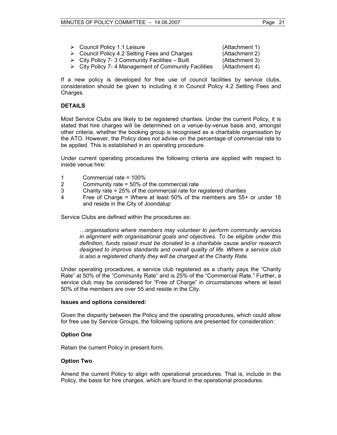| $\triangleright$ Council Policy 1.1 Leisure                         | (Attachment 1) |
|---------------------------------------------------------------------|----------------|
| $\triangleright$ Council Policy 4.2 Setting Fees and Charges        | (Attachment 2) |
| $\triangleright$ City Policy 7-3 Community Facilities – Built       | (Attachment 3) |
| $\triangleright$ City Policy 7-4 Management of Community Facilities | (Attachment 4) |

If a new policy is developed for free use of council facilities by service clubs, consideration should be given to including it in Council Policy 4.2 Setting Fees and Charges.

# **DETAILS**

Most Service Clubs are likely to be registered charities. Under the current Policy, it is stated that hire charges will be determined on a venue-by-venue basis and, amongst other criteria, whether the booking group is recognised as a charitable organisation by the ATO. However, the Policy does not advise on the percentage of commercial rate to be applied. This is established in an operating procedure.

Under current operating procedures the following criteria are applied with respect to inside venue hire:

- 1 Commercial rate = 100%
- 2 Community rate = 50% of the commercial rate
- 3 Charity rate = 25% of the commercial rate for registered charities
- 4 Free of Charge = Where at least 50% of the members are 55+ or under 18 and reside in the City of Joondalup

Service Clubs are defined within the procedures as:

*…organisations where members may volunteer to perform community services in alignment with organisational goals and objectives. To be eligible under this definition, funds raised must be donated to a charitable cause and/or research designed to improve standards and overall quality of life. Where a service club is also a registered charity they will be charged at the Charity Rate.* 

Under operating procedures, a service club registered as a charity pays the "Charity Rate" at 50% of the "Community Rate" and is 25% of the "Commercial Rate." Further, a service club may be considered for "Free of Charge" in circumstances where at least 50% of the members are over 55 and reside in the City.

#### **Issues and options considered:**

Given the disparity between the Policy and the operating procedures, which could allow for free use by Service Groups, the following options are presented for consideration:

# **Option One**

Retain the current Policy in present form.

#### **Option Two**

Amend the current Policy to align with operational procedures. That is, include in the Policy, the basis for hire charges, which are found in the operational procedures.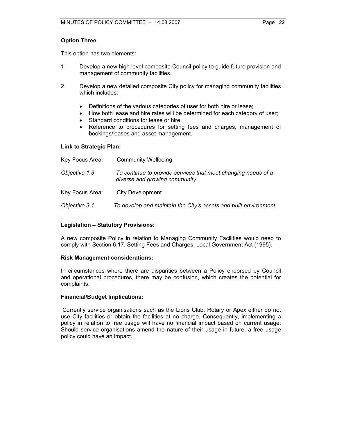# **Option Three**

This option has two elements:

- 1 Develop a new high level composite Council policy to guide future provision and management of community facilities.
- 2 Develop a new detailed composite City policy for managing community facilities which includes:
	- Definitions of the various categories of user for both hire or lease;
	- How both lease and hire rates will be determined for each category of user;
	- Standard conditions for lease or hire;
	- Reference to procedures for setting fees and charges, management of bookings/leases and asset management.

# **Link to Strategic Plan:**

| Key Focus Area: | <b>Community Wellbeing</b>                                                                      |
|-----------------|-------------------------------------------------------------------------------------------------|
| Objective 1.3   | To continue to provide services that meet changing needs of a<br>diverse and growing community. |
| Key Focus Area: | <b>City Development</b>                                                                         |
| Objective 3.1   | To develop and maintain the City's assets and built environment.                                |

# **Legislation – Statutory Provisions:**

A new composite Policy in relation to Managing Community Facilities would need to comply with Section 6.17. Setting Fees and Charges, Local Government Act (1995).

#### **Risk Management considerations:**

In circumstances where there are disparities between a Policy endorsed by Council and operational procedures, there may be confusion, which creates the potential for complaints.

#### **Financial/Budget Implications:**

 Currently service organisations such as the Lions Club, Rotary or Apex either do not use City facilities or obtain the facilities at no charge. Consequently, implementing a policy in relation to free usage will have no financial impact based on current usage. Should service organisations amend the nature of their usage in future, a free usage policy could have an impact.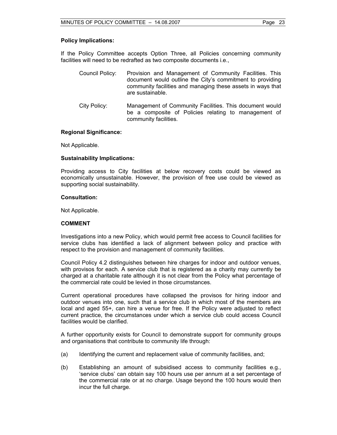## **Policy Implications:**

If the Policy Committee accepts Option Three, all Policies concerning community facilities will need to be redrafted as two composite documents i.e.,

- Council Policy: Provision and Management of Community Facilities. This document would outline the City's commitment to providing community facilities and managing these assets in ways that are sustainable.
- City Policy: Management of Community Facilities. This document would be a composite of Policies relating to management of community facilities.

## **Regional Significance:**

Not Applicable.

## **Sustainability Implications:**

Providing access to City facilities at below recovery costs could be viewed as economically unsustainable. However, the provision of free use could be viewed as supporting social sustainability.

#### **Consultation:**

Not Applicable.

# **COMMENT**

Investigations into a new Policy, which would permit free access to Council facilities for service clubs has identified a lack of alignment between policy and practice with respect to the provision and management of community facilities.

Council Policy 4.2 distinguishes between hire charges for indoor and outdoor venues, with provisos for each. A service club that is registered as a charity may currently be charged at a charitable rate although it is not clear from the Policy what percentage of the commercial rate could be levied in those circumstances.

Current operational procedures have collapsed the provisos for hiring indoor and outdoor venues into one, such that a service club in which most of the members are local and aged 55+, can hire a venue for free. If the Policy were adjusted to reflect current practice, the circumstances under which a service club could access Council facilities would be clarified.

A further opportunity exists for Council to demonstrate support for community groups and organisations that contribute to community life through:

- (a) Identifying the current and replacement value of community facilities, and;
- (b) Establishing an amount of subsidised access to community facilities e.g., 'service clubs' can obtain say 100 hours use per annum at a set percentage of the commercial rate or at no charge. Usage beyond the 100 hours would then incur the full charge.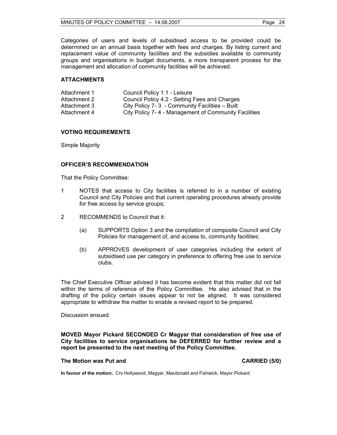Categories of users and levels of subsidised access to be provided could be determined on an annual basis together with fees and charges. By listing current and replacement value of community facilities and the subsidies available to community groups and organisations in budget documents, a more transparent process for the management and allocation of community facilities will be achieved.

## **ATTACHMENTS**

| Attachment 1 | Council Policy 1.1 - Leisure                         |
|--------------|------------------------------------------------------|
| Attachment 2 | Council Policy 4.2 - Setting Fees and Charges        |
| Attachment 3 | City Policy 7-3 - Community Facilities – Built       |
| Attachment 4 | City Policy 7-4 - Management of Community Facilities |

# **VOTING REQUIREMENTS**

Simple Majority

## **OFFICER'S RECOMMENDATION**

That the Policy Committee:

- 1 NOTES that access to City facilities is referred to in a number of existing Council and City Policies and that current operating procedures already provide for free access by service groups;
- 2 RECOMMENDS to Council that it:
	- (a) SUPPORTS Option 3 and the compilation of composite Council and City Policies for management of, and access to, community facilities;
	- (b) APPROVES development of user categories including the extent of subsidised use per category in preference to offering free use to service clubs.

The Chief Executive Officer advised it has become evident that this matter did not fall within the terms of reference of the Policy Committee. He also advised that in the drafting of the policy certain issues appear to not be aligned. It was considered appropriate to withdraw the matter to enable a revised report to be prepared.

Discussion ensued.

**MOVED Mayor Pickard SECONDED Cr Magyar that consideration of free use of City facilities to service organisations be DEFERRED for further review and a report be presented to the next meeting of the Policy Committee.** 

## **The Motion was Put and CARRIED (5/0) CARRIED (5/0)**

**In favour of the motion:**, Crs Hollywood, Magyar, Macdonald and Fishwick, Mayor Pickard